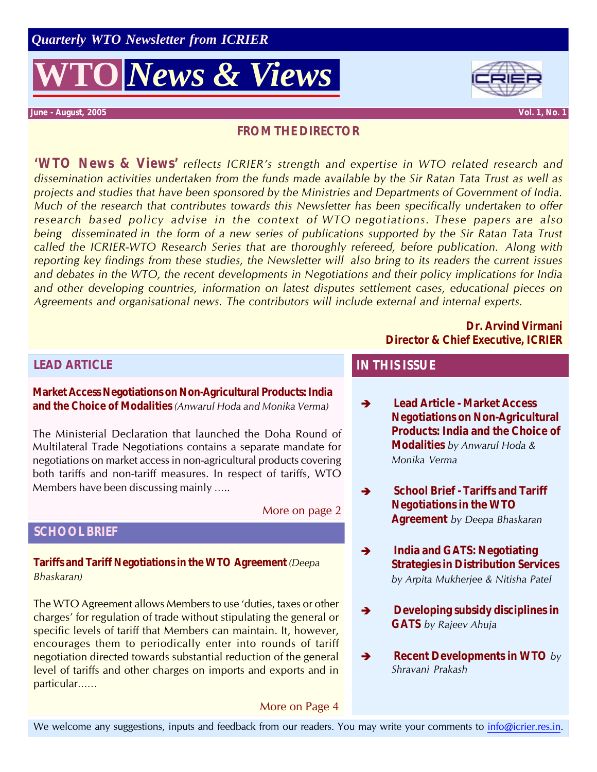

**June - August, 2005 Vol. 1, No. 1**

#### **FROM THE DIRECTOR**

**'WTO News & Views'** *reflects ICRIER's strength and expertise in WTO related research and dissemination activities undertaken from the funds made available by the Sir Ratan Tata Trust as well as projects and studies that have been sponsored by the Ministries and Departments of Government of India. Much of the research that contributes towards this Newsletter has been specifically undertaken to offer research based policy advise in the context of WTO negotiations. These papers are also being disseminated in the form of a new series of publications supported by the Sir Ratan Tata Trust called the ICRIER-WTO Research Series that are thoroughly refereed, before publication. Along with reporting key findings from these studies, the Newsletter will also bring to its readers the current issues and debates in the WTO, the recent developments in Negotiations and their policy implications for India and other developing countries, information on latest disputes settlement cases, educational pieces on Agreements and organisational news. The contributors will include external and internal experts.*

#### **Dr. Arvind Virmani Director & Chief Executive, ICRIER**

### **LEAD ARTICLE**

**Market Access Negotiations on Non-Agricultural Products: India and the Choice of Modalities** *(Anwarul Hoda and Monika Verma)*

The Ministerial Declaration that launched the Doha Round of Multilateral Trade Negotiations contains a separate mandate for negotiations on market access in non-agricultural products covering both tariffs and non-tariff measures. In respect of tariffs, WTO Members have been discussing mainly …..

More on page 2

### **SCHOOL BRIEF**

**Tariffs and Tariff Negotiations in the WTO Agreement** *(Deepa Bhaskaran)*

The WTO Agreement allows Members to use 'duties, taxes or other charges' for regulation of trade without stipulating the general or specific levels of tariff that Members can maintain. It, however, encourages them to periodically enter into rounds of tariff negotiation directed towards substantial reduction of the general level of tariffs and other charges on imports and exports and in particular……

#### More on Page 4

#### **IN THIS ISSUE**

- **→ Lead Article Market Access Negotiations on Non-Agricultural Products: India and the Choice of Modalities** *by Anwarul Hoda & Monika Verma*
- $\rightarrow$  School Brief Tariffs and Tariff **Negotiations in the WTO Agreement** *by Deepa Bhaskaran*
- $\rightarrow$  India and GATS: Negotiating **Strategies in Distribution Services** *by Arpita Mukherjee & Nitisha Patel*
- $\rightarrow$  Developing subsidy disciplines in **GATS** *by Rajeev Ahuja*
- **→** Recent Developments in WTO *by Shravani Prakash*

We welcome any suggestions, inputs and feedback from our readers. You may write your comments to info@icrier.res.in.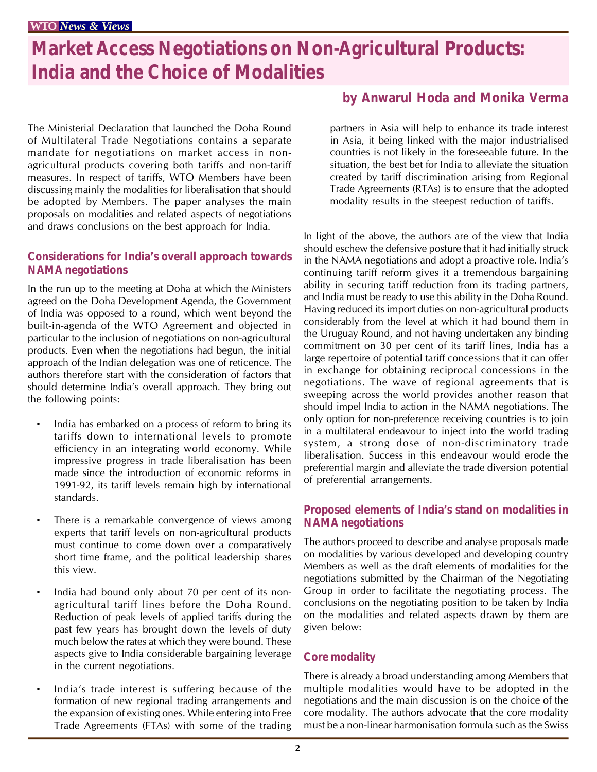## **Market Access Negotiations on Non-Agricultural Products: India and the Choice of Modalities**

The Ministerial Declaration that launched the Doha Round of Multilateral Trade Negotiations contains a separate mandate for negotiations on market access in nonagricultural products covering both tariffs and non-tariff measures. In respect of tariffs, WTO Members have been discussing mainly the modalities for liberalisation that should be adopted by Members. The paper analyses the main proposals on modalities and related aspects of negotiations and draws conclusions on the best approach for India.

#### **Considerations for India's overall approach towards NAMA negotiations**

In the run up to the meeting at Doha at which the Ministers agreed on the Doha Development Agenda, the Government of India was opposed to a round, which went beyond the built-in-agenda of the WTO Agreement and objected in particular to the inclusion of negotiations on non-agricultural products. Even when the negotiations had begun, the initial approach of the Indian delegation was one of reticence. The authors therefore start with the consideration of factors that should determine India's overall approach. They bring out the following points:

- India has embarked on a process of reform to bring its tariffs down to international levels to promote efficiency in an integrating world economy. While impressive progress in trade liberalisation has been made since the introduction of economic reforms in 1991-92, its tariff levels remain high by international standards.
- There is a remarkable convergence of views among experts that tariff levels on non-agricultural products must continue to come down over a comparatively short time frame, and the political leadership shares this view.
- India had bound only about 70 per cent of its nonagricultural tariff lines before the Doha Round. Reduction of peak levels of applied tariffs during the past few years has brought down the levels of duty much below the rates at which they were bound. These aspects give to India considerable bargaining leverage in the current negotiations.
- India's trade interest is suffering because of the formation of new regional trading arrangements and the expansion of existing ones. While entering into Free Trade Agreements (FTAs) with some of the trading

## **by Anwarul Hoda and Monika Verma**

partners in Asia will help to enhance its trade interest in Asia, it being linked with the major industrialised countries is not likely in the foreseeable future. In the situation, the best bet for India to alleviate the situation created by tariff discrimination arising from Regional Trade Agreements (RTAs) is to ensure that the adopted modality results in the steepest reduction of tariffs.

In light of the above, the authors are of the view that India should eschew the defensive posture that it had initially struck in the NAMA negotiations and adopt a proactive role. India's continuing tariff reform gives it a tremendous bargaining ability in securing tariff reduction from its trading partners, and India must be ready to use this ability in the Doha Round. Having reduced its import duties on non-agricultural products considerably from the level at which it had bound them in the Uruguay Round, and not having undertaken any binding commitment on 30 per cent of its tariff lines, India has a large repertoire of potential tariff concessions that it can offer in exchange for obtaining reciprocal concessions in the negotiations. The wave of regional agreements that is sweeping across the world provides another reason that should impel India to action in the NAMA negotiations. The only option for non-preference receiving countries is to join in a multilateral endeavour to inject into the world trading system, a strong dose of non-discriminatory trade liberalisation. Success in this endeavour would erode the preferential margin and alleviate the trade diversion potential of preferential arrangements.

#### **Proposed elements of India's stand on modalities in NAMA negotiations**

The authors proceed to describe and analyse proposals made on modalities by various developed and developing country Members as well as the draft elements of modalities for the negotiations submitted by the Chairman of the Negotiating Group in order to facilitate the negotiating process. The conclusions on the negotiating position to be taken by India on the modalities and related aspects drawn by them are given below:

## **Core modality**

There is already a broad understanding among Members that multiple modalities would have to be adopted in the negotiations and the main discussion is on the choice of the core modality. The authors advocate that the core modality must be a non-linear harmonisation formula such as the Swiss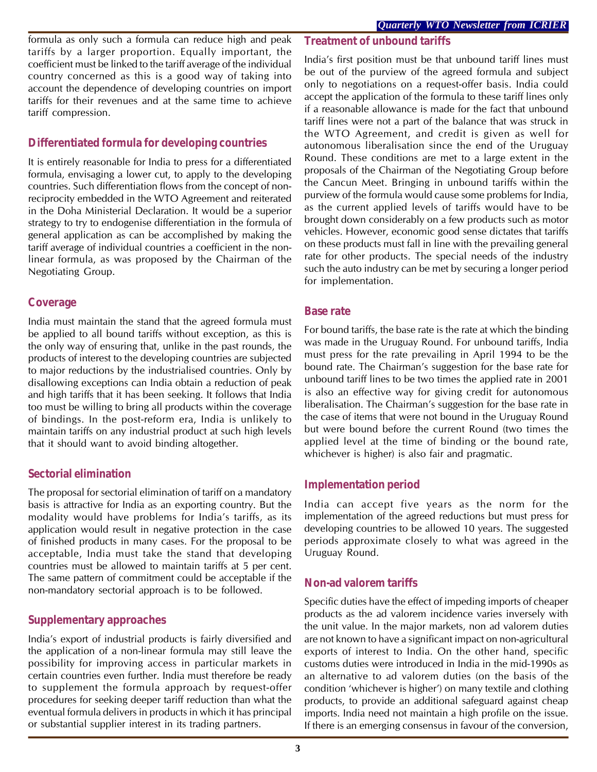formula as only such a formula can reduce high and peak tariffs by a larger proportion. Equally important, the coefficient must be linked to the tariff average of the individual country concerned as this is a good way of taking into account the dependence of developing countries on import tariffs for their revenues and at the same time to achieve tariff compression.

## **Differentiated formula for developing countries**

It is entirely reasonable for India to press for a differentiated formula, envisaging a lower cut, to apply to the developing countries. Such differentiation flows from the concept of nonreciprocity embedded in the WTO Agreement and reiterated in the Doha Ministerial Declaration. It would be a superior strategy to try to endogenise differentiation in the formula of general application as can be accomplished by making the tariff average of individual countries a coefficient in the nonlinear formula, as was proposed by the Chairman of the Negotiating Group.

## **Coverage**

India must maintain the stand that the agreed formula must be applied to all bound tariffs without exception, as this is the only way of ensuring that, unlike in the past rounds, the products of interest to the developing countries are subjected to major reductions by the industrialised countries. Only by disallowing exceptions can India obtain a reduction of peak and high tariffs that it has been seeking. It follows that India too must be willing to bring all products within the coverage of bindings. In the post-reform era, India is unlikely to maintain tariffs on any industrial product at such high levels that it should want to avoid binding altogether.

## **Sectorial elimination**

The proposal for sectorial elimination of tariff on a mandatory basis is attractive for India as an exporting country. But the modality would have problems for India's tariffs, as its application would result in negative protection in the case of finished products in many cases. For the proposal to be acceptable, India must take the stand that developing countries must be allowed to maintain tariffs at 5 per cent. The same pattern of commitment could be acceptable if the non-mandatory sectorial approach is to be followed.

## **Supplementary approaches**

India's export of industrial products is fairly diversified and the application of a non-linear formula may still leave the possibility for improving access in particular markets in certain countries even further. India must therefore be ready to supplement the formula approach by request-offer procedures for seeking deeper tariff reduction than what the eventual formula delivers in products in which it has principal or substantial supplier interest in its trading partners.

## **Treatment of unbound tariffs**

India's first position must be that unbound tariff lines must be out of the purview of the agreed formula and subject only to negotiations on a request-offer basis. India could accept the application of the formula to these tariff lines only if a reasonable allowance is made for the fact that unbound tariff lines were not a part of the balance that was struck in the WTO Agreement, and credit is given as well for autonomous liberalisation since the end of the Uruguay Round. These conditions are met to a large extent in the proposals of the Chairman of the Negotiating Group before the Cancun Meet. Bringing in unbound tariffs within the purview of the formula would cause some problems for India, as the current applied levels of tariffs would have to be brought down considerably on a few products such as motor vehicles. However, economic good sense dictates that tariffs on these products must fall in line with the prevailing general rate for other products. The special needs of the industry such the auto industry can be met by securing a longer period for implementation.

#### **Base rate**

For bound tariffs, the base rate is the rate at which the binding was made in the Uruguay Round. For unbound tariffs, India must press for the rate prevailing in April 1994 to be the bound rate. The Chairman's suggestion for the base rate for unbound tariff lines to be two times the applied rate in 2001 is also an effective way for giving credit for autonomous liberalisation. The Chairman's suggestion for the base rate in the case of items that were not bound in the Uruguay Round but were bound before the current Round (two times the applied level at the time of binding or the bound rate, whichever is higher) is also fair and pragmatic.

## **Implementation period**

India can accept five years as the norm for the implementation of the agreed reductions but must press for developing countries to be allowed 10 years. The suggested periods approximate closely to what was agreed in the Uruguay Round.

## **Non-ad valorem tariffs**

Specific duties have the effect of impeding imports of cheaper products as the ad valorem incidence varies inversely with the unit value. In the major markets, non ad valorem duties are not known to have a significant impact on non-agricultural exports of interest to India. On the other hand, specific customs duties were introduced in India in the mid-1990s as an alternative to ad valorem duties (on the basis of the condition 'whichever is higher') on many textile and clothing products, to provide an additional safeguard against cheap imports. India need not maintain a high profile on the issue. If there is an emerging consensus in favour of the conversion,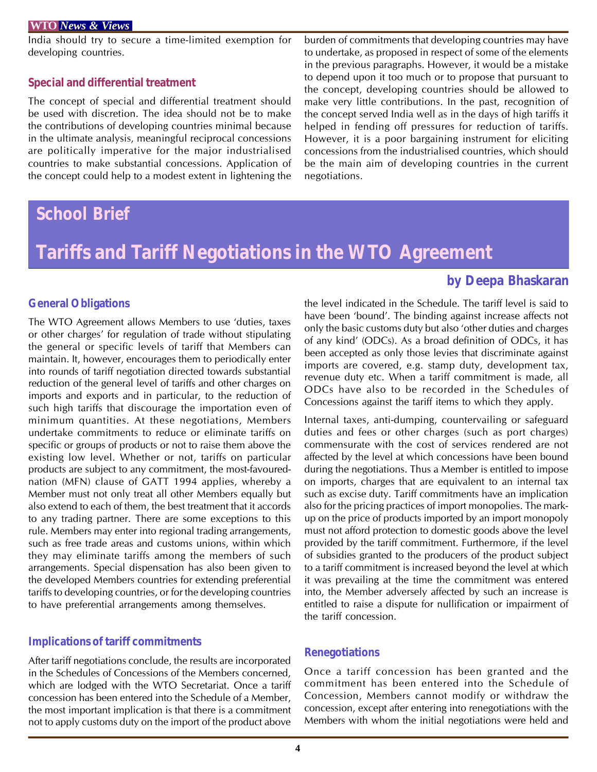India should try to secure a time-limited exemption for developing countries.

#### **Special and differential treatment**

The concept of special and differential treatment should be used with discretion. The idea should not be to make the contributions of developing countries minimal because in the ultimate analysis, meaningful reciprocal concessions are politically imperative for the major industrialised countries to make substantial concessions. Application of the concept could help to a modest extent in lightening the

## *School Brief*

#### burden of commitments that developing countries may have to undertake, as proposed in respect of some of the elements in the previous paragraphs. However, it would be a mistake to depend upon it too much or to propose that pursuant to the concept, developing countries should be allowed to make very little contributions. In the past, recognition of the concept served India well as in the days of high tariffs it helped in fending off pressures for reduction of tariffs. However, it is a poor bargaining instrument for eliciting concessions from the industrialised countries, which should be the main aim of developing countries in the current negotiations.

## **Tariffs and Tariff Negotiations in the WTO Agreement**

## **by Deepa Bhaskaran**

#### **General Obligations**

The WTO Agreement allows Members to use 'duties, taxes or other charges' for regulation of trade without stipulating the general or specific levels of tariff that Members can maintain. It, however, encourages them to periodically enter into rounds of tariff negotiation directed towards substantial reduction of the general level of tariffs and other charges on imports and exports and in particular, to the reduction of such high tariffs that discourage the importation even of minimum quantities. At these negotiations, Members undertake commitments to reduce or eliminate tariffs on specific or groups of products or not to raise them above the existing low level. Whether or not, tariffs on particular products are subject to any commitment, the most-favourednation (MFN) clause of GATT 1994 applies, whereby a Member must not only treat all other Members equally but also extend to each of them, the best treatment that it accords to any trading partner. There are some exceptions to this rule. Members may enter into regional trading arrangements, such as free trade areas and customs unions, within which they may eliminate tariffs among the members of such arrangements. Special dispensation has also been given to the developed Members countries for extending preferential tariffs to developing countries, or for the developing countries to have preferential arrangements among themselves.

#### **Implications of tariff commitments**

After tariff negotiations conclude, the results are incorporated in the Schedules of Concessions of the Members concerned, which are lodged with the WTO Secretariat. Once a tariff concession has been entered into the Schedule of a Member, the most important implication is that there is a commitment not to apply customs duty on the import of the product above

the level indicated in the Schedule. The tariff level is said to have been 'bound'. The binding against increase affects not only the basic customs duty but also 'other duties and charges of any kind' (ODCs). As a broad definition of ODCs, it has been accepted as only those levies that discriminate against imports are covered, e.g. stamp duty, development tax, revenue duty etc. When a tariff commitment is made, all ODCs have also to be recorded in the Schedules of Concessions against the tariff items to which they apply.

Internal taxes, anti-dumping, countervailing or safeguard duties and fees or other charges (such as port charges) commensurate with the cost of services rendered are not affected by the level at which concessions have been bound during the negotiations. Thus a Member is entitled to impose on imports, charges that are equivalent to an internal tax such as excise duty. Tariff commitments have an implication also for the pricing practices of import monopolies. The markup on the price of products imported by an import monopoly must not afford protection to domestic goods above the level provided by the tariff commitment. Furthermore, if the level of subsidies granted to the producers of the product subject to a tariff commitment is increased beyond the level at which it was prevailing at the time the commitment was entered into, the Member adversely affected by such an increase is entitled to raise a dispute for nullification or impairment of the tariff concession.

#### **Renegotiations**

Once a tariff concession has been granted and the commitment has been entered into the Schedule of Concession, Members cannot modify or withdraw the concession, except after entering into renegotiations with the Members with whom the initial negotiations were held and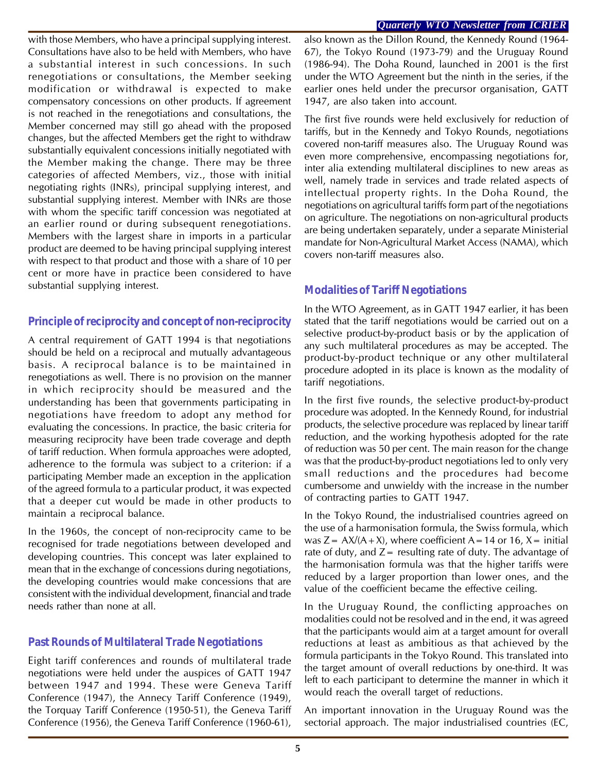#### *Quarterly WTO Newsletter from ICRIER*

with those Members, who have a principal supplying interest. Consultations have also to be held with Members, who have a substantial interest in such concessions. In such renegotiations or consultations, the Member seeking modification or withdrawal is expected to make compensatory concessions on other products. If agreement is not reached in the renegotiations and consultations, the Member concerned may still go ahead with the proposed changes, but the affected Members get the right to withdraw substantially equivalent concessions initially negotiated with the Member making the change. There may be three categories of affected Members, viz., those with initial negotiating rights (INRs), principal supplying interest, and substantial supplying interest. Member with INRs are those with whom the specific tariff concession was negotiated at an earlier round or during subsequent renegotiations. Members with the largest share in imports in a particular product are deemed to be having principal supplying interest with respect to that product and those with a share of 10 per cent or more have in practice been considered to have substantial supplying interest.

### **Principle of reciprocity and concept of non-reciprocity**

A central requirement of GATT 1994 is that negotiations should be held on a reciprocal and mutually advantageous basis. A reciprocal balance is to be maintained in renegotiations as well. There is no provision on the manner in which reciprocity should be measured and the understanding has been that governments participating in negotiations have freedom to adopt any method for evaluating the concessions. In practice, the basic criteria for measuring reciprocity have been trade coverage and depth of tariff reduction. When formula approaches were adopted, adherence to the formula was subject to a criterion: if a participating Member made an exception in the application of the agreed formula to a particular product, it was expected that a deeper cut would be made in other products to maintain a reciprocal balance.

In the 1960s, the concept of non-reciprocity came to be recognised for trade negotiations between developed and developing countries. This concept was later explained to mean that in the exchange of concessions during negotiations, the developing countries would make concessions that are consistent with the individual development, financial and trade needs rather than none at all.

## **Past Rounds of Multilateral Trade Negotiations**

Eight tariff conferences and rounds of multilateral trade negotiations were held under the auspices of GATT 1947 between 1947 and 1994. These were Geneva Tariff Conference (1947), the Annecy Tariff Conference (1949), the Torquay Tariff Conference (1950-51), the Geneva Tariff Conference (1956), the Geneva Tariff Conference (1960-61),

also known as the Dillon Round, the Kennedy Round (1964- 67), the Tokyo Round (1973-79) and the Uruguay Round (1986-94). The Doha Round, launched in 2001 is the first under the WTO Agreement but the ninth in the series, if the earlier ones held under the precursor organisation, GATT 1947, are also taken into account.

The first five rounds were held exclusively for reduction of tariffs, but in the Kennedy and Tokyo Rounds, negotiations covered non-tariff measures also. The Uruguay Round was even more comprehensive, encompassing negotiations for, inter alia extending multilateral disciplines to new areas as well, namely trade in services and trade related aspects of intellectual property rights. In the Doha Round, the negotiations on agricultural tariffs form part of the negotiations on agriculture. The negotiations on non-agricultural products are being undertaken separately, under a separate Ministerial mandate for Non-Agricultural Market Access (NAMA), which covers non-tariff measures also.

## **Modalities of Tariff Negotiations**

In the WTO Agreement, as in GATT 1947 earlier, it has been stated that the tariff negotiations would be carried out on a selective product-by-product basis or by the application of any such multilateral procedures as may be accepted. The product-by-product technique or any other multilateral procedure adopted in its place is known as the modality of tariff negotiations.

In the first five rounds, the selective product-by-product procedure was adopted. In the Kennedy Round, for industrial products, the selective procedure was replaced by linear tariff reduction, and the working hypothesis adopted for the rate of reduction was 50 per cent. The main reason for the change was that the product-by-product negotiations led to only very small reductions and the procedures had become cumbersome and unwieldy with the increase in the number of contracting parties to GATT 1947.

In the Tokyo Round, the industrialised countries agreed on the use of a harmonisation formula, the Swiss formula, which was  $Z = AX/(A+X)$ , where coefficient A = 14 or 16, X = initial rate of duty, and  $Z=$  resulting rate of duty. The advantage of the harmonisation formula was that the higher tariffs were reduced by a larger proportion than lower ones, and the value of the coefficient became the effective ceiling.

In the Uruguay Round, the conflicting approaches on modalities could not be resolved and in the end, it was agreed that the participants would aim at a target amount for overall reductions at least as ambitious as that achieved by the formula participants in the Tokyo Round. This translated into the target amount of overall reductions by one-third. It was left to each participant to determine the manner in which it would reach the overall target of reductions.

An important innovation in the Uruguay Round was the sectorial approach. The major industrialised countries (EC,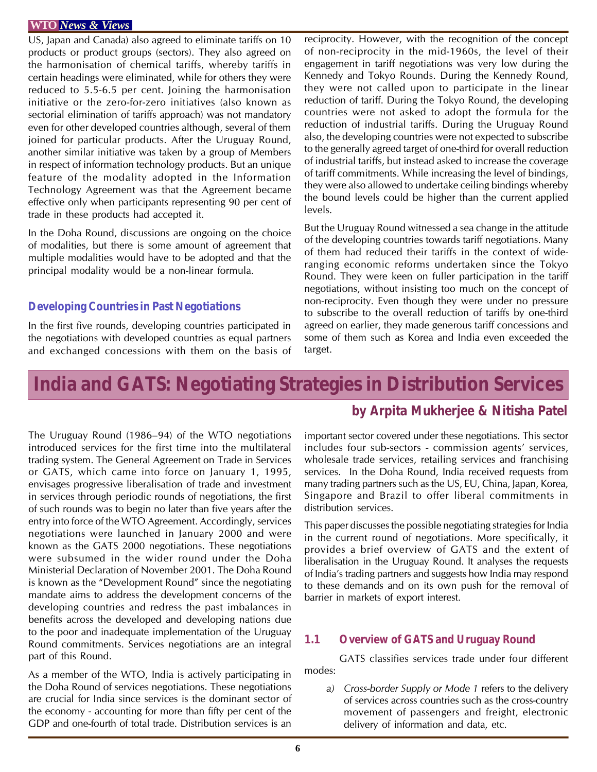US, Japan and Canada) also agreed to eliminate tariffs on 10 products or product groups (sectors). They also agreed on the harmonisation of chemical tariffs, whereby tariffs in certain headings were eliminated, while for others they were reduced to 5.5-6.5 per cent. Joining the harmonisation initiative or the zero-for-zero initiatives (also known as sectorial elimination of tariffs approach) was not mandatory even for other developed countries although, several of them joined for particular products. After the Uruguay Round, another similar initiative was taken by a group of Members in respect of information technology products. But an unique feature of the modality adopted in the Information Technology Agreement was that the Agreement became effective only when participants representing 90 per cent of trade in these products had accepted it.

In the Doha Round, discussions are ongoing on the choice of modalities, but there is some amount of agreement that multiple modalities would have to be adopted and that the principal modality would be a non-linear formula.

#### **Developing Countries in Past Negotiations**

In the first five rounds, developing countries participated in the negotiations with developed countries as equal partners and exchanged concessions with them on the basis of reciprocity. However, with the recognition of the concept of non-reciprocity in the mid-1960s, the level of their engagement in tariff negotiations was very low during the Kennedy and Tokyo Rounds. During the Kennedy Round, they were not called upon to participate in the linear reduction of tariff. During the Tokyo Round, the developing countries were not asked to adopt the formula for the reduction of industrial tariffs. During the Uruguay Round also, the developing countries were not expected to subscribe to the generally agreed target of one-third for overall reduction of industrial tariffs, but instead asked to increase the coverage of tariff commitments. While increasing the level of bindings, they were also allowed to undertake ceiling bindings whereby the bound levels could be higher than the current applied levels.

But the Uruguay Round witnessed a sea change in the attitude of the developing countries towards tariff negotiations. Many of them had reduced their tariffs in the context of wideranging economic reforms undertaken since the Tokyo Round. They were keen on fuller participation in the tariff negotiations, without insisting too much on the concept of non-reciprocity. Even though they were under no pressure to subscribe to the overall reduction of tariffs by one-third agreed on earlier, they made generous tariff concessions and some of them such as Korea and India even exceeded the target.

## **India and GATS: Negotiating Strategies in Distribution Services**

The Uruguay Round (1986–94) of the WTO negotiations introduced services for the first time into the multilateral trading system. The General Agreement on Trade in Services or GATS, which came into force on January 1, 1995, envisages progressive liberalisation of trade and investment in services through periodic rounds of negotiations, the first of such rounds was to begin no later than five years after the entry into force of the WTO Agreement. Accordingly, services negotiations were launched in January 2000 and were known as the GATS 2000 negotiations. These negotiations were subsumed in the wider round under the Doha Ministerial Declaration of November 2001. The Doha Round is known as the "Development Round" since the negotiating mandate aims to address the development concerns of the developing countries and redress the past imbalances in benefits across the developed and developing nations due to the poor and inadequate implementation of the Uruguay Round commitments. Services negotiations are an integral part of this Round.

As a member of the WTO, India is actively participating in the Doha Round of services negotiations. These negotiations are crucial for India since services is the dominant sector of the economy - accounting for more than fifty per cent of the GDP and one-fourth of total trade. Distribution services is an

## **by Arpita Mukherjee & Nitisha Patel**

important sector covered under these negotiations. This sector includes four sub-sectors - commission agents' services, wholesale trade services, retailing services and franchising services. In the Doha Round, India received requests from many trading partners such as the US, EU, China, Japan, Korea, Singapore and Brazil to offer liberal commitments in distribution services.

This paper discusses the possible negotiating strategies for India in the current round of negotiations. More specifically, it provides a brief overview of GATS and the extent of liberalisation in the Uruguay Round. It analyses the requests of India's trading partners and suggests how India may respond to these demands and on its own push for the removal of barrier in markets of export interest.

## **1.1 Overview of GATS and Uruguay Round**

GATS classifies services trade under four different modes:

*a) Cross-border Supply or Mode 1* refers to the delivery of services across countries such as the cross-country movement of passengers and freight, electronic delivery of information and data, etc.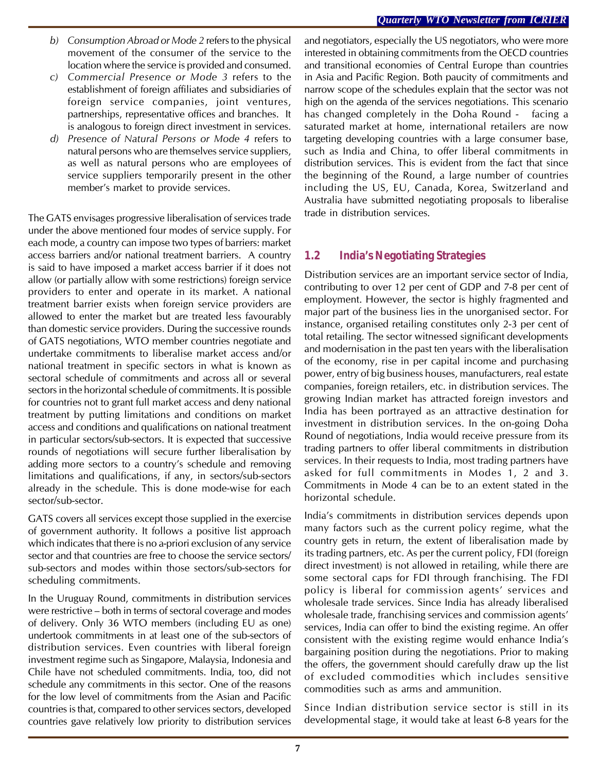- *b) Consumption Abroad or Mode 2* refers to the physical movement of the consumer of the service to the location where the service is provided and consumed.
- *c) Commercial Presence or Mode 3* refers to the establishment of foreign affiliates and subsidiaries of foreign service companies, joint ventures, partnerships, representative offices and branches. It is analogous to foreign direct investment in services.
- *d) Presence of Natural Persons or Mode 4* refers to natural persons who are themselves service suppliers, as well as natural persons who are employees of service suppliers temporarily present in the other member's market to provide services.

The GATS envisages progressive liberalisation of services trade under the above mentioned four modes of service supply. For each mode, a country can impose two types of barriers: market access barriers and/or national treatment barriers. A country is said to have imposed a market access barrier if it does not allow (or partially allow with some restrictions) foreign service providers to enter and operate in its market. A national treatment barrier exists when foreign service providers are allowed to enter the market but are treated less favourably than domestic service providers. During the successive rounds of GATS negotiations, WTO member countries negotiate and undertake commitments to liberalise market access and/or national treatment in specific sectors in what is known as sectoral schedule of commitments and across all or several sectors in the horizontal schedule of commitments. It is possible for countries not to grant full market access and deny national treatment by putting limitations and conditions on market access and conditions and qualifications on national treatment in particular sectors/sub-sectors. It is expected that successive rounds of negotiations will secure further liberalisation by adding more sectors to a country's schedule and removing limitations and qualifications, if any, in sectors/sub-sectors already in the schedule. This is done mode-wise for each sector/sub-sector.

GATS covers all services except those supplied in the exercise of government authority. It follows a positive list approach which indicates that there is no a-priori exclusion of any service sector and that countries are free to choose the service sectors/ sub-sectors and modes within those sectors/sub-sectors for scheduling commitments.

In the Uruguay Round, commitments in distribution services were restrictive – both in terms of sectoral coverage and modes of delivery. Only 36 WTO members (including EU as one) undertook commitments in at least one of the sub-sectors of distribution services. Even countries with liberal foreign investment regime such as Singapore, Malaysia, Indonesia and Chile have not scheduled commitments. India, too, did not schedule any commitments in this sector. One of the reasons for the low level of commitments from the Asian and Pacific countries is that, compared to other services sectors, developed countries gave relatively low priority to distribution services and negotiators, especially the US negotiators, who were more interested in obtaining commitments from the OECD countries and transitional economies of Central Europe than countries in Asia and Pacific Region. Both paucity of commitments and narrow scope of the schedules explain that the sector was not high on the agenda of the services negotiations. This scenario has changed completely in the Doha Round - facing a saturated market at home, international retailers are now targeting developing countries with a large consumer base, such as India and China, to offer liberal commitments in distribution services. This is evident from the fact that since the beginning of the Round, a large number of countries including the US, EU, Canada, Korea, Switzerland and Australia have submitted negotiating proposals to liberalise trade in distribution services.

## **1.2 India's Negotiating Strategies**

Distribution services are an important service sector of India, contributing to over 12 per cent of GDP and 7-8 per cent of employment. However, the sector is highly fragmented and major part of the business lies in the unorganised sector. For instance, organised retailing constitutes only 2-3 per cent of total retailing. The sector witnessed significant developments and modernisation in the past ten years with the liberalisation of the economy, rise in per capital income and purchasing power, entry of big business houses, manufacturers, real estate companies, foreign retailers, etc. in distribution services. The growing Indian market has attracted foreign investors and India has been portrayed as an attractive destination for investment in distribution services. In the on-going Doha Round of negotiations, India would receive pressure from its trading partners to offer liberal commitments in distribution services. In their requests to India, most trading partners have asked for full commitments in Modes 1, 2 and 3. Commitments in Mode 4 can be to an extent stated in the horizontal schedule.

India's commitments in distribution services depends upon many factors such as the current policy regime, what the country gets in return, the extent of liberalisation made by its trading partners, etc. As per the current policy, FDI (foreign direct investment) is not allowed in retailing, while there are some sectoral caps for FDI through franchising. The FDI policy is liberal for commission agents' services and wholesale trade services. Since India has already liberalised wholesale trade, franchising services and commission agents' services, India can offer to bind the existing regime. An offer consistent with the existing regime would enhance India's bargaining position during the negotiations. Prior to making the offers, the government should carefully draw up the list of excluded commodities which includes sensitive commodities such as arms and ammunition.

Since Indian distribution service sector is still in its developmental stage, it would take at least 6-8 years for the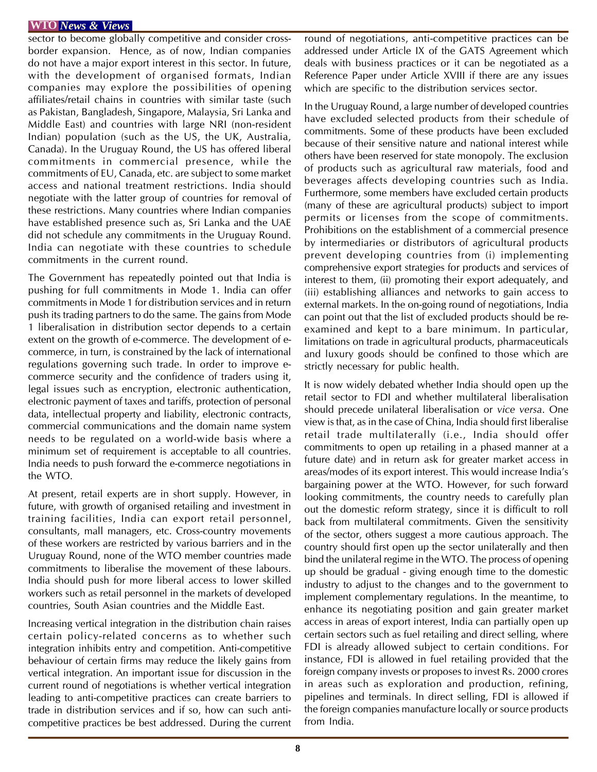sector to become globally competitive and consider crossborder expansion. Hence, as of now, Indian companies do not have a major export interest in this sector. In future, with the development of organised formats, Indian companies may explore the possibilities of opening affiliates/retail chains in countries with similar taste (such as Pakistan, Bangladesh, Singapore, Malaysia, Sri Lanka and Middle East) and countries with large NRI (non-resident Indian) population (such as the US, the UK, Australia, Canada). In the Uruguay Round, the US has offered liberal commitments in commercial presence, while the commitments of EU, Canada, etc. are subject to some market access and national treatment restrictions. India should negotiate with the latter group of countries for removal of these restrictions. Many countries where Indian companies have established presence such as, Sri Lanka and the UAE did not schedule any commitments in the Uruguay Round. India can negotiate with these countries to schedule commitments in the current round.

The Government has repeatedly pointed out that India is pushing for full commitments in Mode 1. India can offer commitments in Mode 1 for distribution services and in return push its trading partners to do the same. The gains from Mode 1 liberalisation in distribution sector depends to a certain extent on the growth of e-commerce. The development of ecommerce, in turn, is constrained by the lack of international regulations governing such trade. In order to improve ecommerce security and the confidence of traders using it, legal issues such as encryption, electronic authentication, electronic payment of taxes and tariffs, protection of personal data, intellectual property and liability, electronic contracts, commercial communications and the domain name system needs to be regulated on a world-wide basis where a minimum set of requirement is acceptable to all countries. India needs to push forward the e-commerce negotiations in the WTO.

At present, retail experts are in short supply. However, in future, with growth of organised retailing and investment in training facilities, India can export retail personnel, consultants, mall managers, etc. Cross-country movements of these workers are restricted by various barriers and in the Uruguay Round, none of the WTO member countries made commitments to liberalise the movement of these labours. India should push for more liberal access to lower skilled workers such as retail personnel in the markets of developed countries, South Asian countries and the Middle East.

Increasing vertical integration in the distribution chain raises certain policy-related concerns as to whether such integration inhibits entry and competition. Anti-competitive behaviour of certain firms may reduce the likely gains from vertical integration. An important issue for discussion in the current round of negotiations is whether vertical integration leading to anti-competitive practices can create barriers to trade in distribution services and if so, how can such anticompetitive practices be best addressed. During the current round of negotiations, anti-competitive practices can be addressed under Article IX of the GATS Agreement which deals with business practices or it can be negotiated as a Reference Paper under Article XVIII if there are any issues which are specific to the distribution services sector.

In the Uruguay Round, a large number of developed countries have excluded selected products from their schedule of commitments. Some of these products have been excluded because of their sensitive nature and national interest while others have been reserved for state monopoly. The exclusion of products such as agricultural raw materials, food and beverages affects developing countries such as India. Furthermore, some members have excluded certain products (many of these are agricultural products) subject to import permits or licenses from the scope of commitments. Prohibitions on the establishment of a commercial presence by intermediaries or distributors of agricultural products prevent developing countries from (i) implementing comprehensive export strategies for products and services of interest to them, (ii) promoting their export adequately, and (iii) establishing alliances and networks to gain access to external markets. In the on-going round of negotiations, India can point out that the list of excluded products should be reexamined and kept to a bare minimum. In particular, limitations on trade in agricultural products, pharmaceuticals and luxury goods should be confined to those which are strictly necessary for public health.

It is now widely debated whether India should open up the retail sector to FDI and whether multilateral liberalisation should precede unilateral liberalisation or *vice versa*. One view is that, as in the case of China, India should first liberalise retail trade multilaterally (i.e., India should offer commitments to open up retailing in a phased manner at a future date) and in return ask for greater market access in areas/modes of its export interest. This would increase India's bargaining power at the WTO. However, for such forward looking commitments, the country needs to carefully plan out the domestic reform strategy, since it is difficult to roll back from multilateral commitments. Given the sensitivity of the sector, others suggest a more cautious approach. The country should first open up the sector unilaterally and then bind the unilateral regime in the WTO. The process of opening up should be gradual - giving enough time to the domestic industry to adjust to the changes and to the government to implement complementary regulations. In the meantime, to enhance its negotiating position and gain greater market access in areas of export interest, India can partially open up certain sectors such as fuel retailing and direct selling, where FDI is already allowed subject to certain conditions. For instance, FDI is allowed in fuel retailing provided that the foreign company invests or proposes to invest Rs. 2000 crores in areas such as exploration and production, refining, pipelines and terminals. In direct selling, FDI is allowed if the foreign companies manufacture locally or source products from India.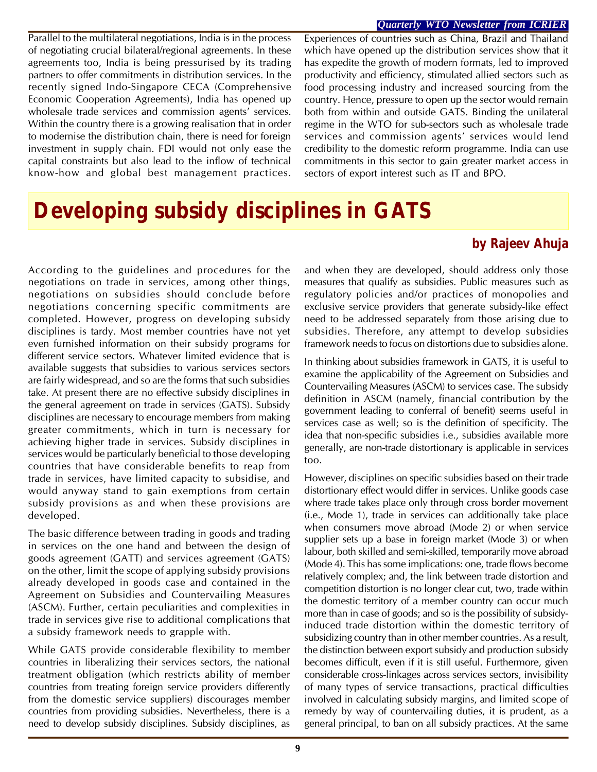#### *Quarterly WTO Newsletter from ICRIER*

Parallel to the multilateral negotiations, India is in the process of negotiating crucial bilateral/regional agreements. In these agreements too, India is being pressurised by its trading partners to offer commitments in distribution services. In the recently signed Indo-Singapore CECA (Comprehensive Economic Cooperation Agreements), India has opened up wholesale trade services and commission agents' services. Within the country there is a growing realisation that in order to modernise the distribution chain, there is need for foreign investment in supply chain. FDI would not only ease the capital constraints but also lead to the inflow of technical know-how and global best management practices.

Experiences of countries such as China, Brazil and Thailand which have opened up the distribution services show that it has expedite the growth of modern formats, led to improved productivity and efficiency, stimulated allied sectors such as food processing industry and increased sourcing from the country. Hence, pressure to open up the sector would remain both from within and outside GATS. Binding the unilateral regime in the WTO for sub-sectors such as wholesale trade services and commission agents' services would lend credibility to the domestic reform programme. India can use commitments in this sector to gain greater market access in sectors of export interest such as IT and BPO.

## **Developing subsidy disciplines in GATS**

## **by Rajeev Ahuja**

According to the guidelines and procedures for the negotiations on trade in services, among other things, negotiations on subsidies should conclude before negotiations concerning specific commitments are completed. However, progress on developing subsidy disciplines is tardy. Most member countries have not yet even furnished information on their subsidy programs for different service sectors. Whatever limited evidence that is available suggests that subsidies to various services sectors are fairly widespread, and so are the forms that such subsidies take. At present there are no effective subsidy disciplines in the general agreement on trade in services (GATS). Subsidy disciplines are necessary to encourage members from making greater commitments, which in turn is necessary for achieving higher trade in services. Subsidy disciplines in services would be particularly beneficial to those developing countries that have considerable benefits to reap from trade in services, have limited capacity to subsidise, and would anyway stand to gain exemptions from certain subsidy provisions as and when these provisions are developed.

The basic difference between trading in goods and trading in services on the one hand and between the design of goods agreement (GATT) and services agreement (GATS) on the other, limit the scope of applying subsidy provisions already developed in goods case and contained in the Agreement on Subsidies and Countervailing Measures (ASCM). Further, certain peculiarities and complexities in trade in services give rise to additional complications that a subsidy framework needs to grapple with.

While GATS provide considerable flexibility to member countries in liberalizing their services sectors, the national treatment obligation (which restricts ability of member countries from treating foreign service providers differently from the domestic service suppliers) discourages member countries from providing subsidies. Nevertheless, there is a need to develop subsidy disciplines. Subsidy disciplines, as

and when they are developed, should address only those measures that qualify as subsidies. Public measures such as regulatory policies and/or practices of monopolies and exclusive service providers that generate subsidy-like effect need to be addressed separately from those arising due to subsidies. Therefore, any attempt to develop subsidies framework needs to focus on distortions due to subsidies alone.

In thinking about subsidies framework in GATS, it is useful to examine the applicability of the Agreement on Subsidies and Countervailing Measures (ASCM) to services case. The subsidy definition in ASCM (namely, financial contribution by the government leading to conferral of benefit) seems useful in services case as well; so is the definition of specificity. The idea that non-specific subsidies i.e., subsidies available more generally, are non-trade distortionary is applicable in services too.

However, disciplines on specific subsidies based on their trade distortionary effect would differ in services. Unlike goods case where trade takes place only through cross border movement (i.e., Mode 1), trade in services can additionally take place when consumers move abroad (Mode 2) or when service supplier sets up a base in foreign market (Mode 3) or when labour, both skilled and semi-skilled, temporarily move abroad (Mode 4). This has some implications: one, trade flows become relatively complex; and, the link between trade distortion and competition distortion is no longer clear cut, two, trade within the domestic territory of a member country can occur much more than in case of goods; and so is the possibility of subsidyinduced trade distortion within the domestic territory of subsidizing country than in other member countries. As a result, the distinction between export subsidy and production subsidy becomes difficult, even if it is still useful. Furthermore, given considerable cross-linkages across services sectors, invisibility of many types of service transactions, practical difficulties involved in calculating subsidy margins, and limited scope of remedy by way of countervailing duties, it is prudent, as a general principal, to ban on all subsidy practices. At the same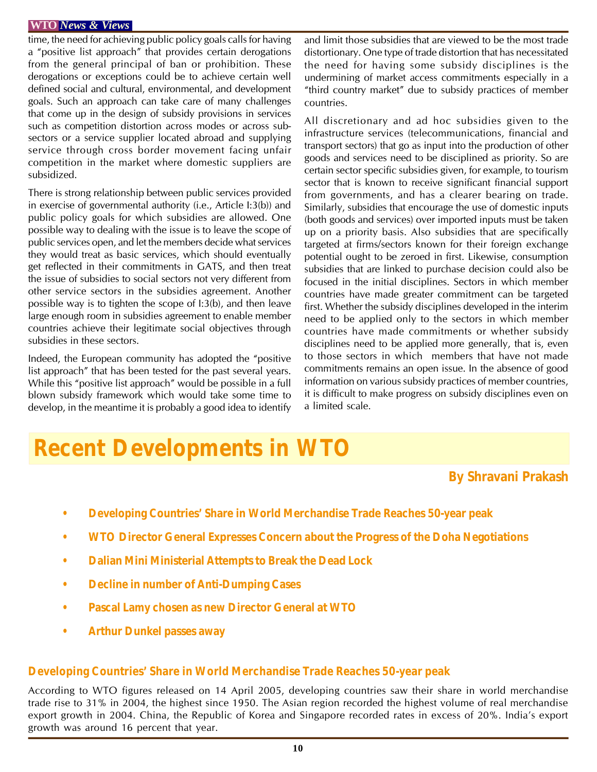time, the need for achieving public policy goals calls for having a "positive list approach" that provides certain derogations from the general principal of ban or prohibition. These derogations or exceptions could be to achieve certain well defined social and cultural, environmental, and development goals. Such an approach can take care of many challenges that come up in the design of subsidy provisions in services such as competition distortion across modes or across subsectors or a service supplier located abroad and supplying service through cross border movement facing unfair competition in the market where domestic suppliers are subsidized.

There is strong relationship between public services provided in exercise of governmental authority (i.e., Article I:3(b)) and public policy goals for which subsidies are allowed. One possible way to dealing with the issue is to leave the scope of public services open, and let the members decide what services they would treat as basic services, which should eventually get reflected in their commitments in GATS, and then treat the issue of subsidies to social sectors not very different from other service sectors in the subsidies agreement. Another possible way is to tighten the scope of I:3(b), and then leave large enough room in subsidies agreement to enable member countries achieve their legitimate social objectives through subsidies in these sectors.

Indeed, the European community has adopted the "positive list approach" that has been tested for the past several years. While this "positive list approach" would be possible in a full blown subsidy framework which would take some time to develop, in the meantime it is probably a good idea to identify and limit those subsidies that are viewed to be the most trade distortionary. One type of trade distortion that has necessitated the need for having some subsidy disciplines is the undermining of market access commitments especially in a "third country market" due to subsidy practices of member countries.

All discretionary and ad hoc subsidies given to the infrastructure services (telecommunications, financial and transport sectors) that go as input into the production of other goods and services need to be disciplined as priority. So are certain sector specific subsidies given, for example, to tourism sector that is known to receive significant financial support from governments, and has a clearer bearing on trade. Similarly, subsidies that encourage the use of domestic inputs (both goods and services) over imported inputs must be taken up on a priority basis. Also subsidies that are specifically targeted at firms/sectors known for their foreign exchange potential ought to be zeroed in first. Likewise, consumption subsidies that are linked to purchase decision could also be focused in the initial disciplines. Sectors in which member countries have made greater commitment can be targeted first. Whether the subsidy disciplines developed in the interim need to be applied only to the sectors in which member countries have made commitments or whether subsidy disciplines need to be applied more generally, that is, even to those sectors in which members that have not made commitments remains an open issue. In the absence of good information on various subsidy practices of member countries, it is difficult to make progress on subsidy disciplines even on a limited scale.

## **Recent Developments in WTO**

## **By Shravani Prakash**

- **Developing Countries' Share in World Merchandise Trade Reaches 50-year peak**
- **WTO Director General Expresses Concern about the Progress of the Doha Negotiations**
- **Dalian Mini Ministerial Attempts to Break the Dead Lock**
- **Decline in number of Anti-Dumping Cases**
- **Pascal Lamy chosen as new Director General at WTO**
- **Arthur Dunkel passes away**

## **Developing Countries' Share in World Merchandise Trade Reaches 50-year peak**

According to WTO figures released on 14 April 2005, developing countries saw their share in world merchandise trade rise to 31% in 2004, the highest since 1950. The Asian region recorded the highest volume of real merchandise export growth in 2004. China, the Republic of Korea and Singapore recorded rates in excess of 20%. India's export growth was around 16 percent that year.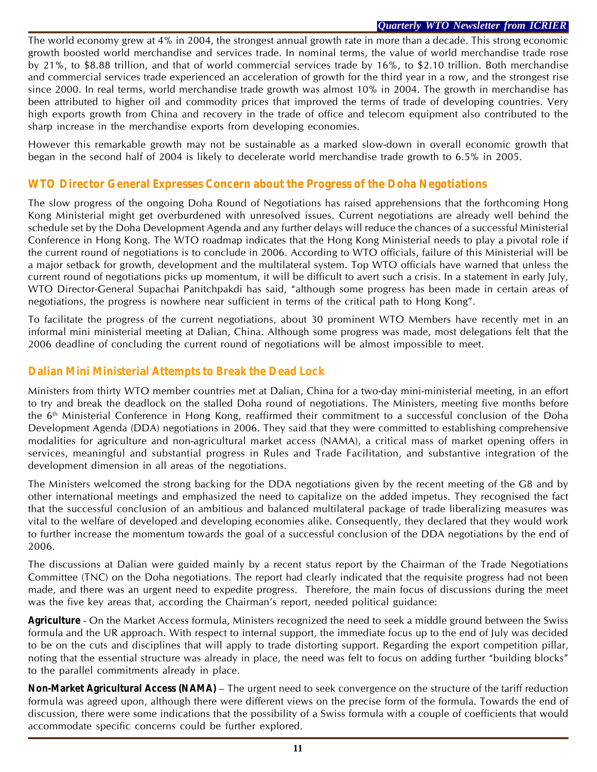The world economy grew at 4% in 2004, the strongest annual growth rate in more than a decade. This strong economic growth boosted world merchandise and services trade. In nominal terms, the value of world merchandise trade rose by 21%, to \$8.88 trillion, and that of world commercial services trade by 16%, to \$2.10 trillion. Both merchandise and commercial services trade experienced an acceleration of growth for the third year in a row, and the strongest rise since 2000. In real terms, world merchandise trade growth was almost 10% in 2004. The growth in merchandise has been attributed to higher oil and commodity prices that improved the terms of trade of developing countries. Very high exports growth from China and recovery in the trade of office and telecom equipment also contributed to the sharp increase in the merchandise exports from developing economies.

However this remarkable growth may not be sustainable as a marked slow-down in overall economic growth that began in the second half of 2004 is likely to decelerate world merchandise trade growth to 6.5% in 2005.

## **WTO Director General Expresses Concern about the Progress of the Doha Negotiations**

The slow progress of the ongoing Doha Round of Negotiations has raised apprehensions that the forthcoming Hong Kong Ministerial might get overburdened with unresolved issues. Current negotiations are already well behind the schedule set by the Doha Development Agenda and any further delays will reduce the chances of a successful Ministerial Conference in Hong Kong. The WTO roadmap indicates that the Hong Kong Ministerial needs to play a pivotal role if the current round of negotiations is to conclude in 2006. According to WTO officials, failure of this Ministerial will be a major setback for growth, development and the multilateral system. Top WTO officials have warned that unless the current round of negotiations picks up momentum, it will be difficult to avert such a crisis. In a statement in early July, WTO Director-General Supachai Panitchpakdi has said, "although some progress has been made in certain areas of negotiations, the progress is nowhere near sufficient in terms of the critical path to Hong Kong".

To facilitate the progress of the current negotiations, about 30 prominent WTO Members have recently met in an informal mini ministerial meeting at Dalian, China. Although some progress was made, most delegations felt that the 2006 deadline of concluding the current round of negotiations will be almost impossible to meet.

## **Dalian Mini Ministerial Attempts to Break the Dead Lock**

Ministers from thirty WTO member countries met at Dalian, China for a two-day mini-ministerial meeting, in an effort to try and break the deadlock on the stalled Doha round of negotiations. The Ministers, meeting five months before the 6<sup>th</sup> Ministerial Conference in Hong Kong, reaffirmed their commitment to a successful conclusion of the Doha Development Agenda (DDA) negotiations in 2006. They said that they were committed to establishing comprehensive modalities for agriculture and non-agricultural market access (NAMA), a critical mass of market opening offers in services, meaningful and substantial progress in Rules and Trade Facilitation, and substantive integration of the development dimension in all areas of the negotiations.

The Ministers welcomed the strong backing for the DDA negotiations given by the recent meeting of the G8 and by other international meetings and emphasized the need to capitalize on the added impetus. They recognised the fact that the successful conclusion of an ambitious and balanced multilateral package of trade liberalizing measures was vital to the welfare of developed and developing economies alike. Consequently, they declared that they would work to further increase the momentum towards the goal of a successful conclusion of the DDA negotiations by the end of 2006.

The discussions at Dalian were guided mainly by a recent status report by the Chairman of the Trade Negotiations Committee (TNC) on the Doha negotiations. The report had clearly indicated that the requisite progress had not been made, and there was an urgent need to expedite progress. Therefore, the main focus of discussions during the meet was the five key areas that, according the Chairman's report, needed political guidance:

*Agriculture* - On the Market Access formula, Ministers recognized the need to seek a middle ground between the Swiss formula and the UR approach. With respect to internal support, the immediate focus up to the end of July was decided to be on the cuts and disciplines that will apply to trade distorting support. Regarding the export competition pillar, noting that the essential structure was already in place, the need was felt to focus on adding further "building blocks" to the parallel commitments already in place.

*Non-Market Agricultural Access (NAMA)* – The urgent need to seek convergence on the structure of the tariff reduction formula was agreed upon, although there were different views on the precise form of the formula. Towards the end of discussion, there were some indications that the possibility of a Swiss formula with a couple of coefficients that would accommodate specific concerns could be further explored.